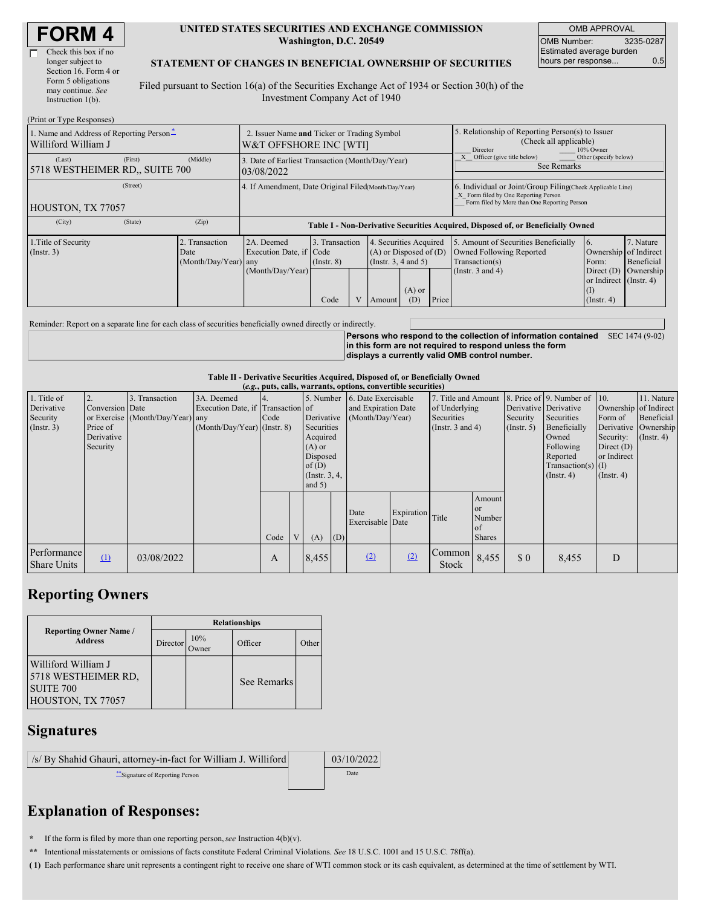| <b>FORM4</b> |
|--------------|
|--------------|

| Check this box if no  |
|-----------------------|
| longer subject to     |
| Section 16. Form 4 or |
| Form 5 obligations    |
| may continue. See     |
| Instruction $1(b)$ .  |
|                       |

#### **UNITED STATES SECURITIES AND EXCHANGE COMMISSION Washington, D.C. 20549**

OMB APPROVAL OMB Number: 3235-0287 Estimated average burden hours per response... 0.5

### **STATEMENT OF CHANGES IN BENEFICIAL OWNERSHIP OF SECURITIES**

Filed pursuant to Section 16(a) of the Securities Exchange Act of 1934 or Section 30(h) of the Investment Company Act of 1940

| (Print or Type Responses)                                       |                                                                       |                                                      |                                                                                                                                      |                                   |  |                                                                              |                                                                                                     |                                                                                                                                                    |                                                                                           |                                                                |                         |
|-----------------------------------------------------------------|-----------------------------------------------------------------------|------------------------------------------------------|--------------------------------------------------------------------------------------------------------------------------------------|-----------------------------------|--|------------------------------------------------------------------------------|-----------------------------------------------------------------------------------------------------|----------------------------------------------------------------------------------------------------------------------------------------------------|-------------------------------------------------------------------------------------------|----------------------------------------------------------------|-------------------------|
| 1. Name and Address of Reporting Person-<br>Williford William J | 2. Issuer Name and Ticker or Trading Symbol<br>W&T OFFSHORE INC [WTI] |                                                      |                                                                                                                                      |                                   |  |                                                                              | 5. Relationship of Reporting Person(s) to Issuer<br>(Check all applicable)<br>Director<br>10% Owner |                                                                                                                                                    |                                                                                           |                                                                |                         |
| (Last)<br>5718 WESTHEIMER RD., SUITE 700                        | (First)                                                               | (Middle)                                             | Officer (give title below)<br>Other (specify below)<br>3. Date of Earliest Transaction (Month/Day/Year)<br>See Remarks<br>03/08/2022 |                                   |  |                                                                              |                                                                                                     |                                                                                                                                                    |                                                                                           |                                                                |                         |
| HOUSTON, TX 77057                                               |                                                                       | 4. If Amendment, Date Original Filed(Month/Day/Year) |                                                                                                                                      |                                   |  |                                                                              |                                                                                                     | 6. Individual or Joint/Group Filing Check Applicable Line)<br>X Form filed by One Reporting Person<br>Form filed by More than One Reporting Person |                                                                                           |                                                                |                         |
| (City)                                                          | (State)                                                               | (Zip)                                                | Table I - Non-Derivative Securities Acquired, Disposed of, or Beneficially Owned                                                     |                                   |  |                                                                              |                                                                                                     |                                                                                                                                                    |                                                                                           |                                                                |                         |
| 1. Title of Security<br>(Insert. 3)                             |                                                                       | 2. Transaction<br>Date<br>$(Month/Day/Year)$ any     | 2A. Deemed<br>Execution Date, if Code                                                                                                | 3. Transaction<br>$($ Instr. $8)$ |  | 4. Securities Acquired<br>$(A)$ or Disposed of $(D)$<br>(Insert. 3, 4 and 5) |                                                                                                     |                                                                                                                                                    | 5. Amount of Securities Beneficially<br><b>Owned Following Reported</b><br>Transaction(s) | 16.<br>Ownership of Indirect<br>Form:                          | 7. Nature<br>Beneficial |
|                                                                 |                                                                       |                                                      | (Month/Day/Year)                                                                                                                     | Code                              |  | Amount                                                                       | $(A)$ or<br>(D)                                                                                     | Price                                                                                                                                              | (Instr. $3$ and $4$ )                                                                     | Direct $(D)$<br>or Indirect (Instr. 4)<br>(I)<br>$($ Instr. 4) | Ownership               |

Reminder: Report on a separate line for each class of securities beneficially owned directly or indirectly.

**Persons who respond to the collection of information contained** SEC 1474 (9-02) **in this form are not required to respond unless the form displays a currently valid OMB control number.**

### **Table II - Derivative Securities Acquired, Disposed of, or Beneficially Owned**

| (e.g., puts, calls, warrants, options, convertible securities) |                                    |                                                    |                                                 |                                 |   |                                                                                           |                                                                |                          |                                                    |                       |                                                      |                                        |                                                                                            |                                                              |                                         |
|----------------------------------------------------------------|------------------------------------|----------------------------------------------------|-------------------------------------------------|---------------------------------|---|-------------------------------------------------------------------------------------------|----------------------------------------------------------------|--------------------------|----------------------------------------------------|-----------------------|------------------------------------------------------|----------------------------------------|--------------------------------------------------------------------------------------------|--------------------------------------------------------------|-----------------------------------------|
| 1. Title of<br>Derivative<br>Security                          | Conversion Date                    | 3. Transaction<br>or Exercise (Month/Day/Year) any | 3A. Deemed<br>Execution Date, if Transaction of | 5. Number<br>Derivative<br>Code |   |                                                                                           | 6. Date Exercisable<br>and Expiration Date<br>(Month/Day/Year) |                          | 7. Title and Amount<br>of Underlying<br>Securities |                       | Derivative Derivative<br>Security                    | 8. Price of 9. Number of<br>Securities | $\vert$ 10.<br>Form of                                                                     | 11. Nature<br>Ownership of Indirect<br>Beneficial            |                                         |
| (Insert. 3)                                                    | Price of<br>Derivative<br>Security |                                                    | $(Month/Day/Year)$ (Instr. 8)                   |                                 |   | Securities<br>Acquired<br>$(A)$ or<br>Disposed<br>of $(D)$<br>(Instr. $3, 4,$<br>and $5)$ |                                                                |                          |                                                    | (Instr. $3$ and $4$ ) |                                                      | $($ Instr. 5 $)$                       | Beneficially<br>Owned<br>Following<br>Reported<br>Transaction(s) $(I)$<br>$($ Instr. 4 $)$ | Security:<br>Direct $(D)$<br>or Indirect<br>$($ Instr. 4 $)$ | Derivative   Ownership<br>$($ Instr. 4) |
|                                                                |                                    |                                                    |                                                 | Code                            | V | (A)                                                                                       | (D)                                                            | Date<br>Exercisable Date | Expiration                                         | Title                 | Amount<br><b>or</b><br>Number<br>of<br><b>Shares</b> |                                        |                                                                                            |                                                              |                                         |
| Performance<br><b>Share Units</b>                              | (1)                                | 03/08/2022                                         |                                                 | A                               |   | 8,455                                                                                     |                                                                | (2)                      | (2)                                                | Common<br>Stock       | 8,455                                                | $\Omega$                               | 8,455                                                                                      | D                                                            |                                         |

## **Reporting Owners**

|                                                                              | <b>Relationships</b> |              |             |       |  |  |  |  |  |
|------------------------------------------------------------------------------|----------------------|--------------|-------------|-------|--|--|--|--|--|
| <b>Reporting Owner Name /</b><br><b>Address</b>                              | Director             | 10%<br>)wner | Officer     | Other |  |  |  |  |  |
| Williford William J<br>5718 WESTHEIMER RD,<br>SUITE 700<br>HOUSTON, TX 77057 |                      |              | See Remarks |       |  |  |  |  |  |

## **Signatures**

/s/ By Shahid Ghauri, attorney-in-fact for William J. Williford 03/10/2022 \*\*Signature of Reporting Person Date

# **Explanation of Responses:**

**\*** If the form is filed by more than one reporting person,*see* Instruction 4(b)(v).

**\*\*** Intentional misstatements or omissions of facts constitute Federal Criminal Violations. *See* 18 U.S.C. 1001 and 15 U.S.C. 78ff(a).

**( 1)** Each performance share unit represents a contingent right to receive one share of WTI common stock or its cash equivalent, as determined at the time of settlement by WTI.